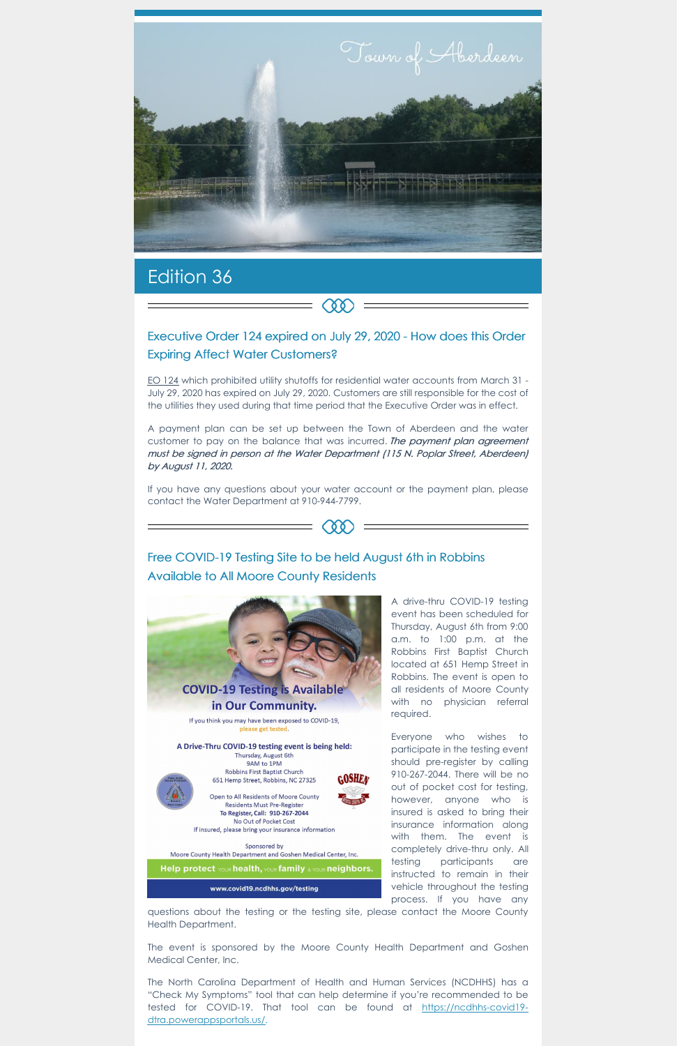

# Edition 36

## Executive Order 124 expired on July 29, 2020 - How does this Order Expiring Affect Water Customers?

 $\infty$ 

EO [124](https://www.nc.gov/covid-19/covid-19-orders) which prohibited utility shutoffs for residential water accounts from March 31 - July 29, 2020 has expired on July 29, 2020. Customers are still responsible for the cost of the utilities they used during that time period that the Executive Order was in effect.

A payment plan can be set up between the Town of Aberdeen and the water customer to pay on the balance that was incurred. The payment plan agreement must be signed in person at the Water Department (115 N. Poplar Street, Aberdeen) by August 11, 2020.

If you have any questions about your water account or the payment plan, please contact the Water Department at 910-944-7799.



# Free COVID-19 Testing Site to be held August 6th in Robbins Available to All Moore County Residents



The North Carolina Department of Health and Human Services (NCDHHS) has a "Check My Symptoms" tool that can help determine if you're recommended to be tested for COVID-19. That tool can be found at https://ncdhhs-covid19 [dtra.powerappsportals.us/.](https://ncdhhs-covid19-dtra.powerappsportals.us/)



A drive-thru COVID-19 testing event has been scheduled for Thursday, August 6th from 9:00 a.m. to 1:00 p.m. at the Robbins First Baptist Church located at 651 Hemp Street in Robbins. The event is open to all residents of Moore County with no physician referral required.

Everyone who wishes to participate in the testing event should pre-register by calling 910-267-2044. There will be no out of pocket cost for testing, however, anyone who is insured is asked to bring their insurance information along with them. The event is completely drive-thru only. All testing participants are instructed to remain in their vehicle throughout the testing process. If you have any

Robbins First Baptist Church 651 Hemp Street, Robbins, NC 27325



Open to All Residents of Moore County Residents Must Pre-Register To Register, Call: 910-267-2044 No Out of Pocket Cost If insured, please bring your insurance information

Sponsored by Moore County Health Department and Goshen Medical Center, Inc.

Help protect YOUR health, YOUR family & YOUR neighbors.

www.covid19.ncdhhs.gov/testing

questions about the testing or the testing site, please contact the Moore County Health Department.

The event is sponsored by the Moore County Health Department and Goshen Medical Center, Inc.